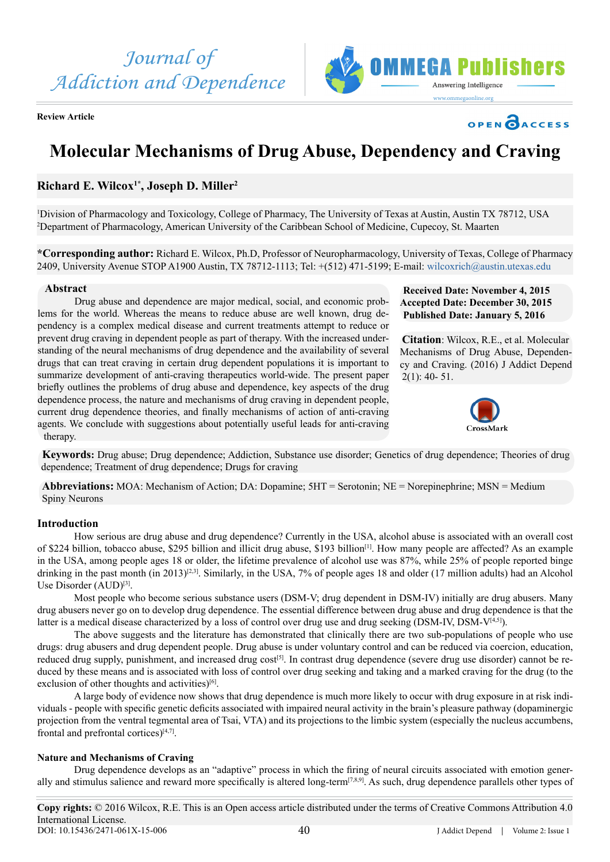*Journal of Addiction and Dependence*



**Review Article**



MMEGA Puhlishers

Answering Intelligence

# **Molecular Mechanisms of Drug Abuse, Dependency and Craving**

# **Richard E. Wilcox1\*, Joseph D. Miller2**

1 Division of Pharmacology and Toxicology, College of Pharmacy, The University of Texas at Austin, Austin TX 78712, USA 2 Department of Pharmacology, American University of the Caribbean School of Medicine, Cupecoy, St. Maarten

**\*Corresponding author:** Richard E. Wilcox, Ph.D, Professor of Neuropharmacology, University of Texas, College of Pharmacy 2409, University Avenue STOP A1900 Austin, TX 78712-1113; Tel: +(512) 471-5199; E-mail: [wilcoxrich@austin.utexas.edu](mailto:wilcoxrich@austin.utexas.edu)

# **Abstract**

Drug abuse and dependence are major medical, social, and economic problems for the world. Whereas the means to reduce abuse are well known, drug dependency is a complex medical disease and current treatments attempt to reduce or prevent drug craving in dependent people as part of therapy. With the increased understanding of the neural mechanisms of drug dependence and the availability of several drugs that can treat craving in certain drug dependent populations it is important to summarize development of anti-craving therapeutics world-wide. The present paper briefly outlines the problems of drug abuse and dependence, key aspects of the drug dependence process, the nature and mechanisms of drug craving in dependent people, current drug dependence theories, and finally mechanisms of action of anti-craving agents. We conclude with suggestions about potentially useful leads for anti-craving therapy.

**Received Date: November 4, 2015 Accepted Date: December 30, 2015 Published Date: January 5, 2016**

**Citation**: Wilcox, R.E., et al. Molecular Mechanisms of Drug Abuse, Dependency and Craving. (2016) J Addict Depend  $2(1)$ : 40- 51.



**Keywords:** Drug abuse; Drug dependence; Addiction, Substance use disorder; Genetics of drug dependence; Theories of drug dependence; Treatment of drug dependence; Drugs for craving

**Abbreviations:** MOA: Mechanism of Action; DA: Dopamine; 5HT = Serotonin; NE = Norepinephrine; MSN = Medium Spiny Neurons

# **Introduction**

How serious are drug abuse and drug dependence? Currently in the USA, alcohol abuse is associated with an overall cost of \$224 billion, tobacco abuse, \$295 billion and illicit drug abuse, \$193 billion[\[1\].](#page-10-0) How many people are affected? As an example in the USA, among people ages 18 or older, the lifetime prevalence of alcohol use was 87%, while 25% of people reported binge drinking in the past month (in 2013)<sup>[2,3]</sup>. Similarly, in the USA, 7% of people ages 18 and older (17 million adults) had an Alcohol Use Disorder (AUD)<sup>[3]</sup>.

Most people who become serious substance users (DSM-V; drug dependent in DSM-IV) initially are drug abusers. Many drug abusers never go on to develop drug dependence. The essential difference between drug abuse and drug dependence is that the latter is a medical disease characterized by a loss of control over drug use and drug seeking (DSM-IV, DSM-V<sup>[4,5]</sup>).

The above suggests and the literature has demonstrated that clinically there are two sub-populations of people who use drugs: drug abusers and drug dependent people. Drug abuse is under voluntary control and can be reduced via coercion, education, reduced drug supply, punishment, and increased drug cost<sup>[5]</sup>. In contrast drug dependence (severe drug use disorder) cannot be reduced by these means and is associated with loss of control over drug seeking and taking and a marked craving for the drug (to the exclusion of other thoughts and activities)<sup>[6]</sup>.

A large body of evidence now shows that drug dependence is much more likely to occur with drug exposure in at risk individuals - people with specific genetic deficits associated with impaired neural activity in the brain's pleasure pathway (dopaminergic projection from the ventral tegmental area of Tsai, VTA) and its projections to the limbic system (especially the nucleus accumbens, frontal and prefrontal cortices)[\[4,7\].](#page-10-3)

# **Nature and Mechanisms of Craving**

Drug dependence develops as an "adaptive" process in which the firing of neural circuits associated with emotion gener-ally and stimulus salience and reward more specifically is altered long-term<sup>[\[7,8,9\]](#page-10-6)</sup>. As such, drug dependence parallels other types of

J Addict Depend | Volume 2: Issue 1 **Copy rights:** © 2016 Wilcox, R.E. This is an Open access article distributed under the terms of Creative Commons Attribution 4.0 International License. 40 DOI: [10.15436/2471-061X-15-00](http://www.dx.doi.org/10.15436/2477-061X.16.006)6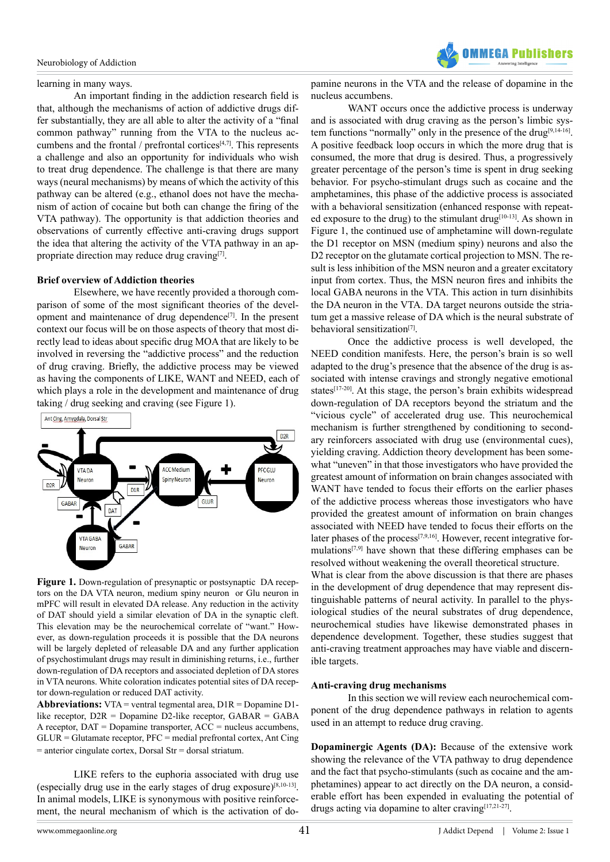

#### learning in many ways.

An important finding in the addiction research field is that, although the mechanisms of action of addictive drugs differ substantially, they are all able to alter the activity of a "final common pathway" running from the VTA to the nucleus accumbens and the frontal  $/$  prefrontal cortices<sup>[4,7]</sup>. This represents a challenge and also an opportunity for individuals who wish to treat drug dependence. The challenge is that there are many ways (neural mechanisms) by means of which the activity of this pathway can be altered (e.g., ethanol does not have the mechanism of action of cocaine but both can change the firing of the VTA pathway). The opportunity is that addiction theories and observations of currently effective anti-craving drugs support the idea that altering the activity of the VTA pathway in an appropriate direction may reduce drug cravin[g\[7\]](#page-10-6).

#### **Brief overview of Addiction theories**

Elsewhere, we have recently provided a thorough comparison of some of the most significant theories of the development and maintenance of drug dependenc[e\[7\]](#page-10-6). In the present context our focus will be on those aspects of theory that most directly lead to ideas about specific drug MOA that are likely to be involved in reversing the "addictive process" and the reduction of drug craving. Briefly, the addictive process may be viewed as having the components of LIKE, WANT and NEED, each of which plays a role in the development and maintenance of drug taking / drug seeking and craving (see Figure 1).



Figure 1. Down-regulation of presynaptic or postsynaptic DA receptors on the DA VTA neuron, medium spiny neuron or Glu neuron in mPFC will result in elevated DA release. Any reduction in the activity of DAT should yield a similar elevation of DA in the synaptic cleft. This elevation may be the neurochemical correlate of "want." However, as down-regulation proceeds it is possible that the DA neurons will be largely depleted of releasable DA and any further application of psychostimulant drugs may result in diminishing returns, i.e., further down-regulation of DA receptors and associated depletion of DA stores in VTA neurons. White coloration indicates potential sites of DA receptor down-regulation or reduced DAT activity.

**Abbreviations:** VTA = ventral tegmental area, D1R = Dopamine D1 like receptor, D2R = Dopamine D2-like receptor, GABAR = GABA A receptor, DAT = Dopamine transporter, ACC = nucleus accumbens,  $GLUR = Glutamate receptor, PFC = medial prefrontal cortex, Ant Cing$ = anterior cingulate cortex, Dorsal Str = dorsal striatum.

LIKE refers to the euphoria associated with drug use (especially drug use in the early stages of drug exposure) $[8,10-13]$ . In animal models, LIKE is synonymous with positive reinforcement, the neural mechanism of which is the activation of do-

pamine neurons in the VTA and the release of dopamine in the nucleus accumbens.

WANT occurs once the addictive process is underway and is associated with drug craving as the person's limbic system functions "normally" only in the presence of the drug<sup>[9,14-16]</sup>. A positive feedback loop occurs in which the more drug that is consumed, the more that drug is desired. Thus, a progressively greater percentage of the person's time is spent in drug seeking behavior. For psycho-stimulant drugs such as cocaine and the amphetamines, this phase of the addictive process is associated with a behavioral sensitization (enhanced response with repeated exposure to the drug) to the stimulant drug $[10-13]$ . As shown in Figure 1, the continued use of amphetamine will down-regulate the D1 receptor on MSN (medium spiny) neurons and also the D<sub>2</sub> receptor on the glutamate cortical projection to MSN. The result is less inhibition of the MSN neuron and a greater excitatory input from cortex. Thus, the MSN neuron fires and inhibits the local GABA neurons in the VTA. This action in turn disinhibits the DA neuron in the VTA. DA target neurons outside the striatum get a massive release of DA which is the neural substrate of behavioral sensitization<sup>[7]</sup>.

Once the addictive process is well developed, the NEED condition manifests. Here, the person's brain is so well adapted to the drug's presence that the absence of the drug is associated with intense cravings and strongly negative emotional states<sup>[\[17-20\]](#page-10-10)</sup>. At this stage, the person's brain exhibits widespread down-regulation of DA receptors beyond the striatum and the "vicious cycle" of accelerated drug use. This neurochemical mechanism is further strengthened by conditioning to secondary reinforcers associated with drug use (environmental cues), yielding craving. Addiction theory development has been somewhat "uneven" in that those investigators who have provided the greatest amount of information on brain changes associated with WANT have tended to focus their efforts on the earlier phases of the addictive process whereas those investigators who have provided the greatest amount of information on brain changes associated with NEED have tended to focus their efforts on the later phases of the process<sup>[7,9,16]</sup>. However, recent integrative formulation[s\[7,9\]](#page-8-0) have shown that these differing emphases can be resolved without weakening the overall theoretical structure. What is clear from the above discussion is that there are phases in the development of drug dependence that may represent distinguishable patterns of neural activity. In parallel to the physiological studies of the neural substrates of drug dependence, neurochemical studies have likewise demonstrated phases in

dependence development. Together, these studies suggest that anti-craving treatment approaches may have viable and discernible targets.

# **Anti-craving drug mechanisms**

In this section we will review each neurochemical component of the drug dependence pathways in relation to agents used in an attempt to reduce drug craving.

**Dopaminergic Agents (DA):** Because of the extensive work showing the relevance of the VTA pathway to drug dependence and the fact that psycho-stimulants (such as cocaine and the amphetamines) appear to act directly on the DA neuron, a considerable effort has been expended in evaluating the potential of drugs acting via dopamine to alter cravin[g\[17,21-27\]](#page-10-10).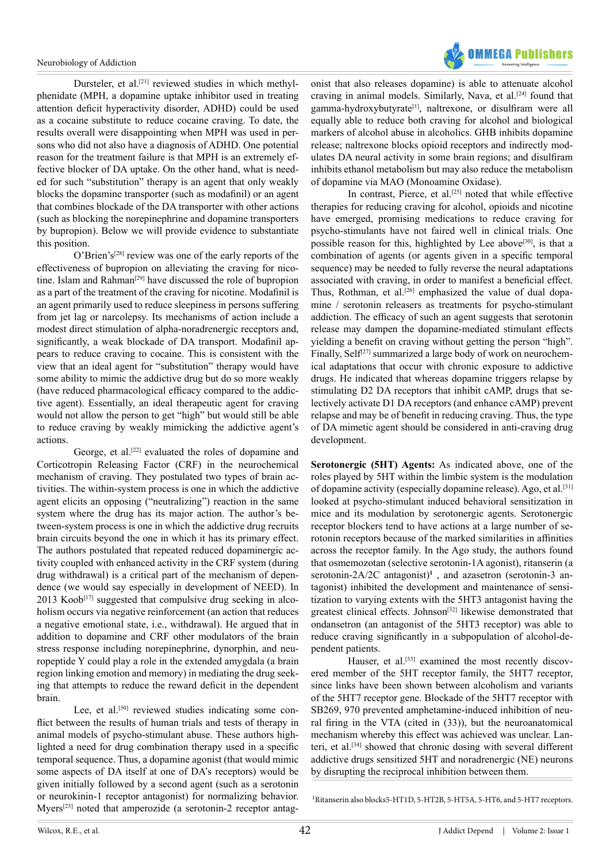

Dursteler, et al.<sup>[\[21\]](#page-10-11)</sup> reviewed studies in which methylphenidate (MPH, a dopamine uptake inhibitor used in treating attention deficit hyperactivity disorder, ADHD) could be used as a cocaine substitute to reduce cocaine craving. To date, the results overall were disappointing when MPH was used in persons who did not also have a diagnosis of ADHD. One potential reason for the treatment failure is that MPH is an extremely effective blocker of DA uptake. On the other hand, what is needed for such "substitution" therapy is an agent that only weakly blocks the dopamine transporter (such as modafinil) or an agent that combines blockade of the DA transporter with other actions (such as blocking the norepinephrine and dopamine transporters by bupropion). Below we will provide evidence to substantiate this position.

 $O'$ Brien's<sup>[\[28\]](#page-10-12)</sup> review was one of the early reports of the effectiveness of bupropion on alleviating the craving for nicotine. Islam and Rahman<sup>[29]</sup> have discussed the role of bupropion as a part of the treatment of the craving for nicotine. Modafinil is an agent primarily used to reduce sleepiness in persons suffering from jet lag or narcolepsy. Its mechanisms of action include a modest direct stimulation of alpha-noradrenergic receptors and, significantly, a weak blockade of DA transport. Modafinil appears to reduce craving to cocaine. This is consistent with the view that an ideal agent for "substitution" therapy would have some ability to mimic the addictive drug but do so more weakly (have reduced pharmacological efficacy compared to the addictive agent). Essentially, an ideal therapeutic agent for craving would not allow the person to get "high" but would still be able to reduce craving by weakly mimicking the addictive agent's actions.

George, et al.<sup>[22]</sup> evaluated the roles of dopamine and Corticotropin Releasing Factor (CRF) in the neurochemical mechanism of craving. They postulated two types of brain activities. The within-system process is one in which the addictive agent elicits an opposing ("neutralizing") reaction in the same system where the drug has its major action. The author's between-system process is one in which the addictive drug recruits brain circuits beyond the one in which it has its primary effect. The authors postulated that repeated reduced dopaminergic activity coupled with enhanced activity in the CRF system (during drug withdrawal) is a critical part of the mechanism of dependence (we would say especially in development of NEED). In  $2013$  Koob<sup>[\[17\]](#page-10-10)</sup> suggested that compulsive drug seeking in alcoholism occurs via negative reinforcement (an action that reduces a negative emotional state, i.e., withdrawal). He argued that in addition to dopamine and CRF other modulators of the brain stress response including norepinephrine, dynorphin, and neuropeptide Y could play a role in the extended amygdala (a brain region linking emotion and memory) in mediating the drug seeking that attempts to reduce the reward deficit in the dependent brain.

Lee, et al.<sup>[\[30\]](#page-10-15)</sup> reviewed studies indicating some conflict between the results of human trials and tests of therapy in animal models of psycho-stimulant abuse. These authors highlighted a need for drug combination therapy used in a specific temporal sequence. Thus, a dopamine agonist (that would mimic some aspects of DA itself at one of DA's receptors) would be given initially followed by a second agent (such as a serotonin or neurokinin-1 receptor antagonist) for normalizing behavior. Myers[\[23\]](#page-10-16) noted that amperozide (a serotonin-2 receptor antag-

onist that also releases dopamine) is able to attenuate alcohol craving in animal models. Similarly, Nava, et al.<sup>[24]</sup> found that gamma-hydroxybutyrat[e\[1\]](#page-10-0), naltrexone, or disulfiram were all equally able to reduce both craving for alcohol and biological markers of alcohol abuse in alcoholics. GHB inhibits dopamine release; naltrexone blocks opioid receptors and indirectly modulates DA neural activity in some brain regions; and disulfiram inhibits ethanol metabolism but may also reduce the metabolism of dopamine via MAO (Monoamine Oxidase).

In contrast, Pierce, et al.<sup>[25]</sup> noted that while effective therapies for reducing craving for alcohol, opioids and nicotine have emerged, promising medications to reduce craving for psycho-stimulants have not faired well in clinical trials. One possible reason for this, highlighted by Lee above<sup>[30]</sup>, is that a combination of agents (or agents given in a specific temporal sequence) may be needed to fully reverse the neural adaptations associated with craving, in order to manifest a beneficial effect. Thus, Rothman, et al.<sup>[26]</sup> emphasized the value of dual dopamine / serotonin releasers as treatments for psycho-stimulant addiction. The efficacy of such an agent suggests that serotonin release may dampen the dopamine-mediated stimulant effects yielding a benefit on craving without getting the person "high". Finally, Self<sup>[27]</sup> summarized a large body of work on neurochemical adaptations that occur with chronic exposure to addictive drugs. He indicated that whereas dopamine triggers relapse by stimulating D2 DA receptors that inhibit cAMP, drugs that selectively activate D1 DA receptors (and enhance cAMP) prevent relapse and may be of benefit in reducing craving. Thus, the type of DA mimetic agent should be considered in anti-craving drug development.

**Serotonergic (5HT) Agents:** As indicated above, one of the roles played by 5HT within the limbic system is the modulation of dopamine activity (especially dopamine release). Ago, et al.<sup>[\[31\]](#page-10-21)</sup> looked at psycho-stimulant induced behavioral sensitization in mice and its modulation by serotonergic agents. Serotonergic receptor blockers tend to have actions at a large number of serotonin receptors because of the marked similarities in affinities across the receptor family. In the Ago study, the authors found that osmemozotan (selective serotonin-1A agonist), ritanserin (a serotonin-2A/2C antagonist)<sup>1</sup>, and azasetron (serotonin-3 antagonist) inhibited the development and maintenance of sensitization to varying extents with the 5HT3 antagonist having the greatest clinical effects. Johnson<sup>[\[32\]](#page-10-22)</sup> likewise demonstrated that ondansetron (an antagonist of the 5HT3 receptor) was able to reduce craving significantly in a subpopulation of alcohol-dependent patients.

Hauser, et al.<sup>[\[33\]](#page-10-23)</sup> examined the most recently discovered member of the 5HT receptor family, the 5HT7 receptor, since links have been shown between alcoholism and variants of the 5HT7 receptor gene. Blockade of the 5HT7 receptor with SB269, 970 prevented amphetamine-induced inhibition of neural firing in the VTA (cited in (33)), but the neuroanatomical mechanism whereby this effect was achieved was unclear. Lanteri, et al[.\[34\]](#page-11-0) showed that chronic dosing with several different addictive drugs sensitized 5HT and noradrenergic (NE) neurons by disrupting the reciprocal inhibition between them.

<sup>1</sup>Ritanserin also blocks5-HT1D, 5-HT2B, 5-HT5A, 5-HT6, and 5-HT7 receptors.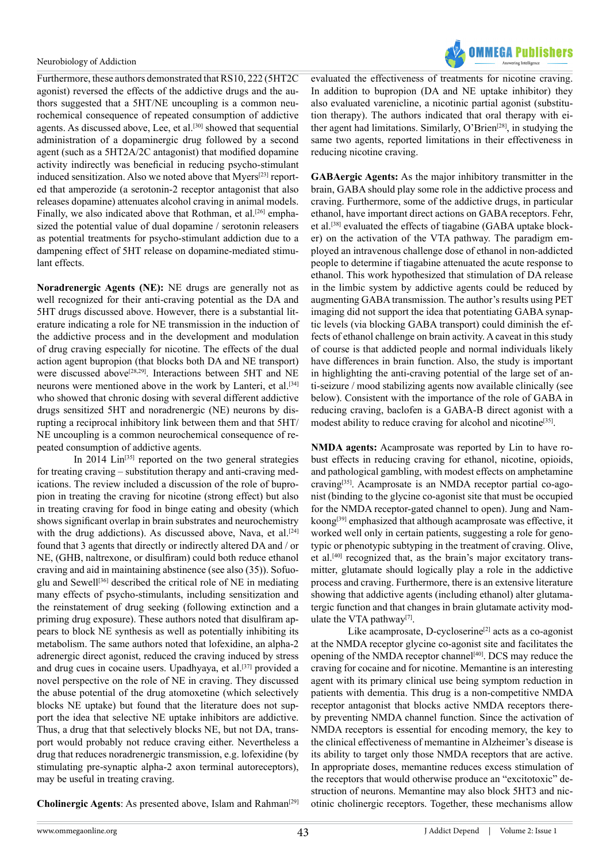

Furthermore, these authors demonstrated that RS10, 222 (5HT2C agonist) reversed the effects of the addictive drugs and the authors suggested that a 5HT/NE uncoupling is a common neurochemical consequence of repeated consumption of addictive agents. As discussed above, Lee, et al.<sup>[30]</sup> showed that sequential administration of a dopaminergic drug followed by a second agent (such as a 5HT2A/2C antagonist) that modified dopamine activity indirectly was beneficial in reducing psycho-stimulant induced sensitization. Also we noted above that Myers<sup>[23]</sup> reported that amperozide (a serotonin-2 receptor antagonist that also releases dopamine) attenuates alcohol craving in animal models. Finally, we also indicated above that Rothman, et al.<sup>[26]</sup> emphasized the potential value of dual dopamine / serotonin releasers as potential treatments for psycho-stimulant addiction due to a dampening effect of 5HT release on dopamine-mediated stimulant effects.

**Noradrenergic Agents (NE):** NE drugs are generally not as well recognized for their anti-craving potential as the DA and 5HT drugs discussed above. However, there is a substantial literature indicating a role for NE transmission in the induction of the addictive process and in the development and modulation of drug craving especially for nicotine. The effects of the dual action agent bupropion (that blocks both DA and NE transport) were discussed above<sup>[28,29]</sup>. Interactions between 5HT and NE neurons were mentioned above in the work by Lanteri, et al.<sup>[\[34\]](#page-11-0)</sup> who showed that chronic dosing with several different addictive drugs sensitized 5HT and noradrenergic (NE) neurons by disrupting a reciprocal inhibitory link between them and that 5HT/ NE uncoupling is a common neurochemical consequence of repeated consumption of addictive agents.

In 2014  $Lin^{[35]}$  $Lin^{[35]}$  $Lin^{[35]}$  reported on the two general strategies for treating craving – substitution therapy and anti-craving medications. The review included a discussion of the role of bupropion in treating the craving for nicotine (strong effect) but also in treating craving for food in binge eating and obesity (which shows significant overlap in brain substrates and neurochemistry with the drug addictions). As discussed above, Nava, et al.<sup>[\[24\]](#page-10-17)</sup> found that 3 agents that directly or indirectly altered DA and / or NE, (GHB, naltrexone, or disulfiram) could both reduce ethanol craving and aid in maintaining abstinence (see also (35)). Sofuoglu and Sewel[l\[36\]](#page-11-2) described the critical role of NE in mediating many effects of psycho-stimulants, including sensitization and the reinstatement of drug seeking (following extinction and a priming drug exposure). These authors noted that disulfiram appears to block NE synthesis as well as potentially inhibiting its metabolism. The same authors noted that lofexidine, an alpha-2 adrenergic direct agonist, reduced the craving induced by stress and drug cues in cocaine users. Upadhyaya, et al.<sup>[37]</sup> provided a novel perspective on the role of NE in craving. They discussed the abuse potential of the drug atomoxetine (which selectively blocks NE uptake) but found that the literature does not support the idea that selective NE uptake inhibitors are addictive. Thus, a drug that that selectively blocks NE, but not DA, transport would probably not reduce craving either. Nevertheless a drug that reduces noradrenergic transmission, e.g. lofexidine (by stimulating pre-synaptic alpha-2 axon terminal autoreceptors), may be useful in treating craving.

evaluated the effectiveness of treatments for nicotine craving. In addition to bupropion (DA and NE uptake inhibitor) they also evaluated varenicline, a nicotinic partial agonist (substitution therapy). The authors indicated that oral therapy with either agent had limitations. Similarly, O'Brien<sup>[28]</sup>, in studying the same two agents, reported limitations in their effectiveness in reducing nicotine craving.

**GABAergic Agents:** As the major inhibitory transmitter in the brain, GABA should play some role in the addictive process and craving. Furthermore, some of the addictive drugs, in particular ethanol, have important direct actions on GABA receptors. Fehr, et al[.\[38\]](#page-11-4) evaluated the effects of tiagabine (GABA uptake blocker) on the activation of the VTA pathway. The paradigm employed an intravenous challenge dose of ethanol in non-addicted people to determine if tiagabine attenuated the acute response to ethanol. This work hypothesized that stimulation of DA release in the limbic system by addictive agents could be reduced by augmenting GABA transmission. The author's results using PET imaging did not support the idea that potentiating GABA synaptic levels (via blocking GABA transport) could diminish the effects of ethanol challenge on brain activity. A caveat in this study of course is that addicted people and normal individuals likely have differences in brain function. Also, the study is important in highlighting the anti-craving potential of the large set of anti-seizure / mood stabilizing agents now available clinically (see below). Consistent with the importance of the role of GABA in reducing craving, baclofen is a GABA-B direct agonist with a modest ability to reduce craving for alcohol and nicotine<sup>[35]</sup>.

**NMDA agents:** Acamprosate was reported by Lin to have robust effects in reducing craving for ethanol, nicotine, opioids, and pathological gambling, with modest effects on amphetamine craving[\[35\]](#page-11-1). Acamprosate is an NMDA receptor partial co-agonist (binding to the glycine co-agonist site that must be occupied for the NMDA receptor-gated channel to open). Jung and Nam-koong<sup>[\[39\]](#page-11-5)</sup> emphasized that although acamprosate was effective, it worked well only in certain patients, suggesting a role for genotypic or phenotypic subtyping in the treatment of craving. Olive, et al[.\[40\]](#page-11-6) recognized that, as the brain's major excitatory transmitter, glutamate should logically play a role in the addictive process and craving. Furthermore, there is an extensive literature showing that addictive agents (including ethanol) alter glutamatergic function and that changes in brain glutamate activity modulate the VTA pathway $[7]$ .

Like acamprosate, D-cycloserine $[2]$  acts as a co-agonist at the NMDA receptor glycine co-agonist site and facilitates the opening of the NMDA receptor channel<sup>[40]</sup>. DCS may reduce the craving for cocaine and for nicotine. Memantine is an interesting agent with its primary clinical use being symptom reduction in patients with dementia. This drug is a non-competitive NMDA receptor antagonist that blocks active NMDA receptors thereby preventing NMDA channel function. Since the activation of NMDA receptors is essential for encoding memory, the key to the clinical effectiveness of memantine in Alzheimer's disease is its ability to target only those NMDA receptors that are active. In appropriate doses, memantine reduces excess stimulation of the receptors that would otherwise produce an "excitotoxic" destruction of neurons. Memantine may also block 5HT3 and nicotinic cholinergic receptors. Together, these mechanisms allow

Cholinergic Agents: As presented above, Islam and Rahman<sup>[\[29\]](#page-10-13)</sup>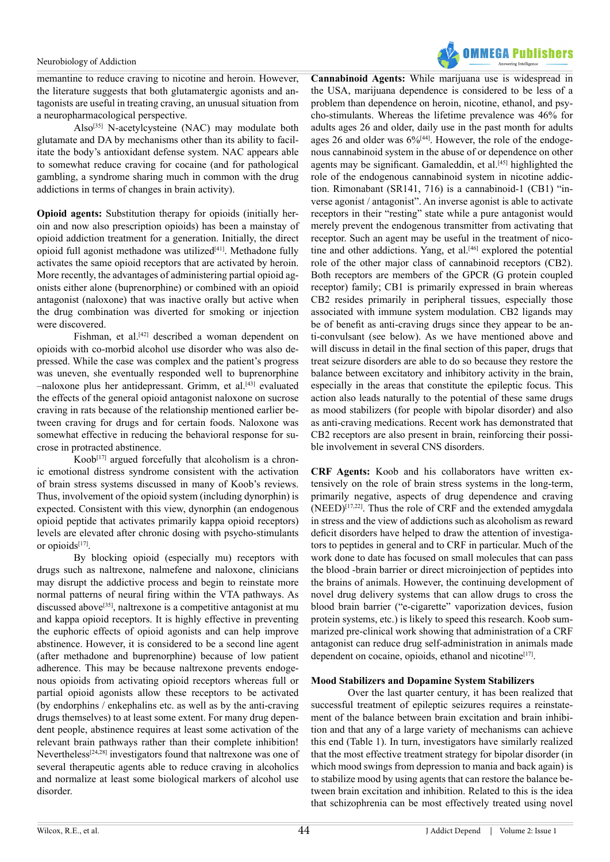memantine to reduce craving to nicotine and heroin. However, the literature suggests that both glutamatergic agonists and antagonists are useful in treating craving, an unusual situation from a neuropharmacological perspective.

Also<sup>[35]</sup> N-acetylcysteine (NAC) may modulate both glutamate and DA by mechanisms other than its ability to facilitate the body's antioxidant defense system. NAC appears able to somewhat reduce craving for cocaine (and for pathological gambling, a syndrome sharing much in common with the drug addictions in terms of changes in brain activity).

**Opioid agents:** Substitution therapy for opioids (initially heroin and now also prescription opioids) has been a mainstay of opioid addiction treatment for a generation. Initially, the direct opioid full agonist methadone was utilized<sup>[41]</sup>. Methadone fully activates the same opioid receptors that are activated by heroin. More recently, the advantages of administering partial opioid agonists either alone (buprenorphine) or combined with an opioid antagonist (naloxone) that was inactive orally but active when the drug combination was diverted for smoking or injection were discovered.

Fishman, et al.<sup>[42]</sup> described a woman dependent on opioids with co-morbid alcohol use disorder who was also depressed. While the case was complex and the patient's progress was uneven, she eventually responded well to buprenorphine –naloxone plus her antidepressant. Grimm, et al.[\[43\]](#page-11-9) evaluated the effects of the general opioid antagonist naloxone on sucrose craving in rats because of the relationship mentioned earlier between craving for drugs and for certain foods. Naloxone was somewhat effective in reducing the behavioral response for sucrose in protracted abstinence.

Koob $[17]$  argued forcefully that alcoholism is a chronic emotional distress syndrome consistent with the activation of brain stress systems discussed in many of Koob's reviews. Thus, involvement of the opioid system (including dynorphin) is expected. Consistent with this view, dynorphin (an endogenous opioid peptide that activates primarily kappa opioid receptors) levels are elevated after chronic dosing with psycho-stimulants or opioid[s\[17\].](#page-10-10)

By blocking opioid (especially mu) receptors with drugs such as naltrexone, nalmefene and naloxone, clinicians may disrupt the addictive process and begin to reinstate more normal patterns of neural firing within the VTA pathways. As discussed above<sup>[\[35\]](#page-11-1)</sup>, naltrexone is a competitive antagonist at mu and kappa opioid receptors. It is highly effective in preventing the euphoric effects of opioid agonists and can help improve abstinence. However, it is considered to be a second line agent (after methadone and buprenorphine) because of low patient adherence. This may be because naltrexone prevents endogenous opioids from activating opioid receptors whereas full or partial opioid agonists allow these receptors to be activated (by endorphins / enkephalins etc. as well as by the anti-craving drugs themselves) to at least some extent. For many drug dependent people, abstinence requires at least some activation of the relevant brain pathways rather than their complete inhibition! Nevertheless<sup>[24,28]</sup> investigators found that naltrexone was one of several therapeutic agents able to reduce craving in alcoholics and normalize at least some biological markers of alcohol use disorder.



**Cannabinoid Agents:** While marijuana use is widespread in the USA, marijuana dependence is considered to be less of a problem than dependence on heroin, nicotine, ethanol, and psycho-stimulants. Whereas the lifetime prevalence was 46% for adults ages 26 and older, daily use in the past month for adults ages 26 and older was  $6\%$ <sup>[44]</sup>. However, the role of the endogenous cannabinoid system in the abuse of or dependence on other agents may be significant. Gamaleddin, et al.<sup>[45]</sup> highlighted the role of the endogenous cannabinoid system in nicotine addiction. Rimonabant (SR141, 716) is a cannabinoid-1 (CB1) "inverse agonist / antagonist". An inverse agonist is able to activate receptors in their "resting" state while a pure antagonist would merely prevent the endogenous transmitter from activating that receptor. Such an agent may be useful in the treatment of nicotine and other addictions. Yang, et al.<sup>[46]</sup> explored the potential role of the other major class of cannabinoid receptors (CB2). Both receptors are members of the GPCR (G protein coupled receptor) family; CB1 is primarily expressed in brain whereas CB2 resides primarily in peripheral tissues, especially those associated with immune system modulation. CB2 ligands may be of benefit as anti-craving drugs since they appear to be anti-convulsant (see below). As we have mentioned above and will discuss in detail in the final section of this paper, drugs that treat seizure disorders are able to do so because they restore the balance between excitatory and inhibitory activity in the brain, especially in the areas that constitute the epileptic focus. This action also leads naturally to the potential of these same drugs as mood stabilizers (for people with bipolar disorder) and also as anti-craving medications. Recent work has demonstrated that CB2 receptors are also present in brain, reinforcing their possible involvement in several CNS disorders.

**CRF Agents:** Koob and his collaborators have written extensively on the role of brain stress systems in the long-term, primarily negative, aspects of drug dependence and craving  $(NEED)^{[17,22]}$ . Thus the role of CRF and the extended amygdala in stress and the view of addictions such as alcoholism as reward deficit disorders have helped to draw the attention of investigators to peptides in general and to CRF in particular. Much of the work done to date has focused on small molecules that can pass the blood -brain barrier or direct microinjection of peptides into the brains of animals. However, the continuing development of novel drug delivery systems that can allow drugs to cross the blood brain barrier ("e-cigarette" vaporization devices, fusion protein systems, etc.) is likely to speed this research. Koob summarized pre-clinical work showing that administration of a CRF antagonist can reduce drug self-administration in animals made dependent on cocaine, opioids, ethanol and nicotine $[17]$ .

# **Mood Stabilizers and Dopamine System Stabilizers**

Over the last quarter century, it has been realized that successful treatment of epileptic seizures requires a reinstatement of the balance between brain excitation and brain inhibition and that any of a large variety of mechanisms can achieve this end (Table 1). In turn, investigators have similarly realized that the most effective treatment strategy for bipolar disorder (in which mood swings from depression to mania and back again) is to stabilize mood by using agents that can restore the balance between brain excitation and inhibition. Related to this is the idea that schizophrenia can be most effectively treated using novel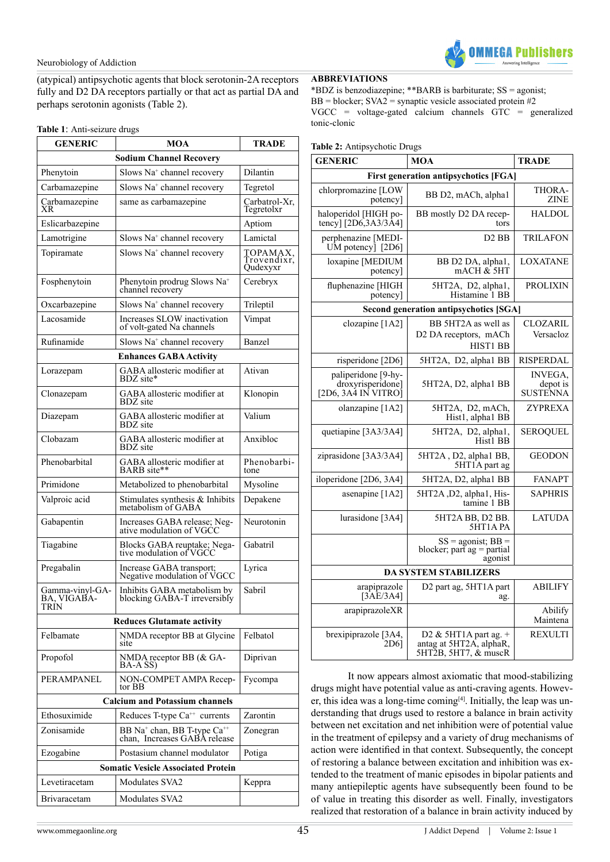

(atypical) antipsychotic agents that block serotonin-2A receptors fully and D2 DA receptors partially or that act as partial DA and perhaps serotonin agonists (Table 2).

#### **Table 1**: Anti-seizure drugs

| <b>GENERIC</b>                            | <b>MOA</b>                                                                          | TRADE                               |  |  |  |  |  |
|-------------------------------------------|-------------------------------------------------------------------------------------|-------------------------------------|--|--|--|--|--|
| <b>Sodium Channel Recovery</b>            |                                                                                     |                                     |  |  |  |  |  |
| Phenytoin                                 | Slows Na <sup>+</sup> channel recovery                                              | Dilantin                            |  |  |  |  |  |
| Carbamazepine                             | Slows Na <sup>+</sup> channel recovery                                              | Tegretol                            |  |  |  |  |  |
| Carbamazepine<br>XR                       | same as carbamazepine                                                               | Carbatrol-Xr,<br>Tegretolxr         |  |  |  |  |  |
| Eslicarbazepine                           |                                                                                     | Aptiom                              |  |  |  |  |  |
| Lamotrigine                               | Slows Na <sup>+</sup> channel recovery                                              | Lamictal                            |  |  |  |  |  |
| Topiramate                                | Slows Na <sup>+</sup> channel recovery                                              | TOPAMAX,<br>Trovendixr,<br>Qudexyxr |  |  |  |  |  |
| Fosphenytoin                              | Phenytoin prodrug Slows Na <sup>+</sup><br>channel recovery                         | Cerebryx                            |  |  |  |  |  |
| Oxcarbazepine                             | Slows Na <sup>+</sup> channel recovery                                              | Trileptil                           |  |  |  |  |  |
| Lacosamide                                | Increases SLOW inactivation<br>of volt-gated Na channels                            | Vimpat                              |  |  |  |  |  |
| Rufinamide                                | Slows Na <sup>+</sup> channel recovery                                              | Banzel                              |  |  |  |  |  |
|                                           | <b>Enhances GABA Activity</b>                                                       |                                     |  |  |  |  |  |
| Lorazepam                                 | GABA allosteric modifier at<br>BDZ site*                                            | Ativan                              |  |  |  |  |  |
| Clonazepam                                | GABA allosteric modifier at<br>BDZ site                                             | Klonopin                            |  |  |  |  |  |
| Diazepam                                  | GABA allosteric modifier at<br><b>BDZ</b> site                                      | Valium                              |  |  |  |  |  |
| Clobazam                                  | GABA allosteric modifier at<br><b>BDZ</b> site                                      | Anxibloc                            |  |  |  |  |  |
| Phenobarbital                             | GABA allosteric modifier at<br>BARB site**                                          | Phenobarbi-<br>tone                 |  |  |  |  |  |
| Primidone                                 | Metabolized to phenobarbital                                                        | Mysoline                            |  |  |  |  |  |
| Valproic acid                             | Stimulates synthesis & Inhibits<br>metabolism of GABA                               | Depakene                            |  |  |  |  |  |
| Gabapentin                                | Increases GABA release; Neg-<br>ative modulation of VGCC                            | Neurotonin                          |  |  |  |  |  |
| Tiagabine                                 | Blocks GABA reuptake; Nega-<br>tive modulation of VGCC                              | Gabatril                            |  |  |  |  |  |
| Pregabalin                                | Increase GABA transport;<br>Negative modulation of VGCC                             | Lyrica                              |  |  |  |  |  |
| Gamma-vinyl-GA-<br>BA, VIGABA-<br>TRÍN    | Inhibits GABA metabolism by<br>blocking GABA-T irreversibly                         | Sabril                              |  |  |  |  |  |
|                                           | <b>Reduces Glutamate activity</b>                                                   |                                     |  |  |  |  |  |
| Felbamate                                 | NMDA receptor BB at Glycine<br>site                                                 | Felbatol                            |  |  |  |  |  |
| Propofol                                  | NMDA receptor BB (& GA-<br>BA-A SS)                                                 | Diprivan                            |  |  |  |  |  |
| PERAMPANEL                                | NON-COMPET AMPA Receptor BB                                                         | Fycompa                             |  |  |  |  |  |
| <b>Calcium and Potassium channels</b>     |                                                                                     |                                     |  |  |  |  |  |
| Ethosuximide                              | Reduces T-type Ca <sup>++</sup> currents                                            | Zarontin                            |  |  |  |  |  |
| Zonisamide                                | BB Na <sup>+</sup> chan, BB T-type Ca <sup>++</sup><br>chan, Increases GABA release | Zonegran                            |  |  |  |  |  |
| Ezogabine                                 | Postasium channel modulator                                                         | Potiga                              |  |  |  |  |  |
| <b>Somatic Vesicle Associated Protein</b> |                                                                                     |                                     |  |  |  |  |  |
| Levetiracetam                             | Modulates SVA2                                                                      | Keppra                              |  |  |  |  |  |
| <b>Brivaracetam</b>                       | Modulates SVA2                                                                      |                                     |  |  |  |  |  |

# **ABBREVIATIONS**

\*BDZ is benzodiazepine; \*\*BARB is barbiturate; SS = agonist; BB = blocker;  $SVA2$  = synaptic vesicle associated protein #2 VGCC = voltage-gated calcium channels GTC = generalized tonic-clonic

#### **Table 2:** Antipsychotic Drugs

| <b>GENERIC</b>                                                               | <b>MOA</b>                                                                 | <b>TRADE</b>                           |  |  |  |  |  |
|------------------------------------------------------------------------------|----------------------------------------------------------------------------|----------------------------------------|--|--|--|--|--|
| <b>First generation antipsychotics [FGA]</b>                                 |                                                                            |                                        |  |  |  |  |  |
| chlorpromazine [LOW<br>potency]                                              | BB D2, mACh, alpha1                                                        | THORA-<br><b>ZINE</b>                  |  |  |  |  |  |
| haloperidol [HIGH po-<br>tency] $[2D6,3A3/3A4]$                              | BB mostly D2 DA recep-<br>tors                                             | HALDOL                                 |  |  |  |  |  |
| perphenazine [MEDI-<br>UM potency $[2D6]$                                    | D <sub>2</sub> BB                                                          | <b>TRILAFON</b>                        |  |  |  |  |  |
| loxapine [MEDIUM<br>potency]                                                 | BB D2 DA, alpha1,<br>mACH & 5HT                                            | <b>LOXATANE</b>                        |  |  |  |  |  |
| fluphenazine [HIGH<br>potency]                                               | 5HT2A, D2, alpha1,<br>Histamine 1 BB                                       | <b>PROLIXIN</b>                        |  |  |  |  |  |
|                                                                              | Second generation antipsychotics [SGA]                                     |                                        |  |  |  |  |  |
| clozapine [1A2]                                                              | BB 5HT2A as well as<br>D2 DA receptors, mACh<br>HIST1 BB                   | <b>CLOZARIL</b><br>Versacloz           |  |  |  |  |  |
| risperidone [2D6]                                                            | 5HT2A, D2, alpha1 BB                                                       | RISPERDAL                              |  |  |  |  |  |
| paliperidone [9-hy-<br>droxyrisperidone]<br>$[2D6, 3A\overline{4}$ IN VITRO] | 5HT2A, D2, alpha1 BB                                                       | <b>INVEGA.</b><br>depot is<br>SUSTENNA |  |  |  |  |  |
| olanzapine [1A2]                                                             | 5HT2A, D2, mACh,<br>Hist1, alpha1 BB                                       | <b>ZYPREXA</b>                         |  |  |  |  |  |
| quetiapine [3A3/3A4]                                                         | 5HT2A, D2, alpha1,<br>Hist1 BB                                             | <b>SEROQUEL</b>                        |  |  |  |  |  |
| ziprasidone [3A3/3A4]                                                        | 5HT2A, D2, alpha1 BB,<br>5HT1A part ag                                     | <b>GEODON</b>                          |  |  |  |  |  |
| iloperidone [2D6, 3A4]                                                       | 5HT2A, D2, alpha1 BB                                                       | <b>FANAPT</b>                          |  |  |  |  |  |
| asenapine [1A2]                                                              | 5HT2A, D2, alpha1, His-<br>tamine 1 BB                                     | <b>SAPHRIS</b>                         |  |  |  |  |  |
| lurasidone [3A4]                                                             | 5HT2A BB, D2 BB.<br>5HT1APA                                                | <b>LATUDA</b>                          |  |  |  |  |  |
|                                                                              | $SS = agonist$ ; $BB =$<br>blocker; part $ag =$ partial<br>agonist         |                                        |  |  |  |  |  |
| <b>DA SYSTEM STABILIZERS</b>                                                 |                                                                            |                                        |  |  |  |  |  |
| arapiprazole<br>$\left[3\right]$ AE/3A4]                                     | D <sub>2</sub> part ag, 5HT <sub>1</sub> A part<br>ag.                     | <b>ABILIFY</b>                         |  |  |  |  |  |
| arapiprazoleXR                                                               |                                                                            | Abilify<br>Maintena                    |  |  |  |  |  |
| brexipiprazole [3A4,<br>2D6]                                                 | D2 & 5HT1A part ag. $+$<br>antag at 5HT2A, alphaR,<br>5HT2B, 5HT7, & muscR | <b>REXULTI</b>                         |  |  |  |  |  |

It now appears almost axiomatic that mood-stabilizing drugs might have potential value as anti-craving agents. However, this idea was a long-time coming<sup>[4]</sup>. Initially, the leap was understanding that drugs used to restore a balance in brain activity between net excitation and net inhibition were of potential value in the treatment of epilepsy and a variety of drug mechanisms of action were identified in that context. Subsequently, the concept of restoring a balance between excitation and inhibition was extended to the treatment of manic episodes in bipolar patients and many antiepileptic agents have subsequently been found to be of value in treating this disorder as well. Finally, investigators realized that restoration of a balance in brain activity induced by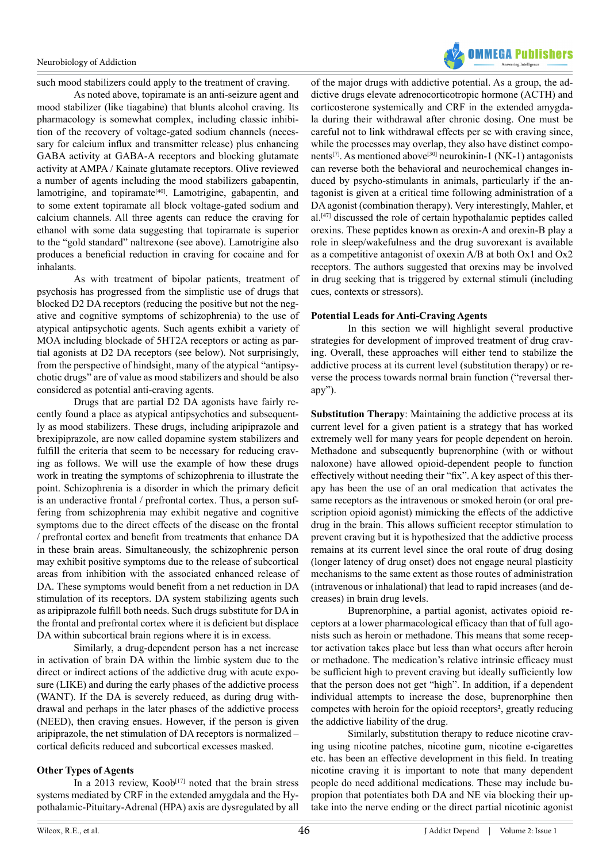

such mood stabilizers could apply to the treatment of craving.

As noted above, topiramate is an anti-seizure agent and mood stabilizer (like tiagabine) that blunts alcohol craving. Its pharmacology is somewhat complex, including classic inhibition of the recovery of voltage-gated sodium channels (necessary for calcium influx and transmitter release) plus enhancing GABA activity at GABA-A receptors and blocking glutamate activity at AMPA / Kainate glutamate receptors. Olive reviewed a number of agents including the mood stabilizers gabapentin, lamotrigine, and topiramate<sup>[\[40\]](#page-11-6)</sup>. Lamotrigine, gabapentin, and to some extent topiramate all block voltage-gated sodium and calcium channels. All three agents can reduce the craving for ethanol with some data suggesting that topiramate is superior to the "gold standard" naltrexone (see above). Lamotrigine also produces a beneficial reduction in craving for cocaine and for inhalants.

As with treatment of bipolar patients, treatment of psychosis has progressed from the simplistic use of drugs that blocked D2 DA receptors (reducing the positive but not the negative and cognitive symptoms of schizophrenia) to the use of atypical antipsychotic agents. Such agents exhibit a variety of MOA including blockade of 5HT2A receptors or acting as partial agonists at D2 DA receptors (see below). Not surprisingly, from the perspective of hindsight, many of the atypical "antipsychotic drugs" are of value as mood stabilizers and should be also considered as potential anti-craving agents.

Drugs that are partial D2 DA agonists have fairly recently found a place as atypical antipsychotics and subsequently as mood stabilizers. These drugs, including aripiprazole and brexipiprazole, are now called dopamine system stabilizers and fulfill the criteria that seem to be necessary for reducing craving as follows. We will use the example of how these drugs work in treating the symptoms of schizophrenia to illustrate the point. Schizophrenia is a disorder in which the primary deficit is an underactive frontal / prefrontal cortex. Thus, a person suffering from schizophrenia may exhibit negative and cognitive symptoms due to the direct effects of the disease on the frontal / prefrontal cortex and benefit from treatments that enhance DA in these brain areas. Simultaneously, the schizophrenic person may exhibit positive symptoms due to the release of subcortical areas from inhibition with the associated enhanced release of DA. These symptoms would benefit from a net reduction in DA stimulation of its receptors. DA system stabilizing agents such as aripiprazole fulfill both needs. Such drugs substitute for DA in the frontal and prefrontal cortex where it is deficient but displace DA within subcortical brain regions where it is in excess.

Similarly, a drug-dependent person has a net increase in activation of brain DA within the limbic system due to the direct or indirect actions of the addictive drug with acute exposure (LIKE) and during the early phases of the addictive process (WANT). If the DA is severely reduced, as during drug withdrawal and perhaps in the later phases of the addictive process (NEED), then craving ensues. However, if the person is given aripiprazole, the net stimulation of DA receptors is normalized – cortical deficits reduced and subcortical excesses masked.

# **Other Types of Agents**

In a 2013 review,  $Koob^{[17]}$  noted that the brain stress systems mediated by CRF in the extended amygdala and the Hypothalamic-Pituitary-Adrenal (HPA) axis are dysregulated by all of the major drugs with addictive potential. As a group, the addictive drugs elevate adrenocorticotropic hormone (ACTH) and corticosterone systemically and CRF in the extended amygdala during their withdrawal after chronic dosing. One must be careful not to link withdrawal effects per se with craving since, while the processes may overlap, they also have distinct components<sup>[7]</sup>. As mentioned above<sup>[30]</sup> neurokinin-1 (NK-1) antagonists can reverse both the behavioral and neurochemical changes induced by psycho-stimulants in animals, particularly if the antagonist is given at a critical time following administration of a DA agonist (combination therapy). Very interestingly, Mahler, et al[.\[47\]](#page-11-13) discussed the role of certain hypothalamic peptides called orexins. These peptides known as orexin-A and orexin-B play a role in sleep/wakefulness and the drug suvorexant is available as a competitive antagonist of oxexin A/B at both Ox1 and Ox2 receptors. The authors suggested that orexins may be involved in drug seeking that is triggered by external stimuli (including cues, contexts or stressors).

# **Potential Leads for Anti-Craving Agents**

In this section we will highlight several productive strategies for development of improved treatment of drug craving. Overall, these approaches will either tend to stabilize the addictive process at its current level (substitution therapy) or reverse the process towards normal brain function ("reversal therapy").

**Substitution Therapy**: Maintaining the addictive process at its current level for a given patient is a strategy that has worked extremely well for many years for people dependent on heroin. Methadone and subsequently buprenorphine (with or without naloxone) have allowed opioid-dependent people to function effectively without needing their "fix". A key aspect of this therapy has been the use of an oral medication that activates the same receptors as the intravenous or smoked heroin (or oral prescription opioid agonist) mimicking the effects of the addictive drug in the brain. This allows sufficient receptor stimulation to prevent craving but it is hypothesized that the addictive process remains at its current level since the oral route of drug dosing (longer latency of drug onset) does not engage neural plasticity mechanisms to the same extent as those routes of administration (intravenous or inhalational) that lead to rapid increases (and decreases) in brain drug levels.

Buprenorphine, a partial agonist, activates opioid receptors at a lower pharmacological efficacy than that of full agonists such as heroin or methadone. This means that some receptor activation takes place but less than what occurs after heroin or methadone. The medication's relative intrinsic efficacy must be sufficient high to prevent craving but ideally sufficiently low that the person does not get "high". In addition, if a dependent individual attempts to increase the dose, buprenorphine then competes with heroin for the opioid receptors**<sup>2</sup>** , greatly reducing the addictive liability of the drug.

Similarly, substitution therapy to reduce nicotine craving using nicotine patches, nicotine gum, nicotine e-cigarettes etc. has been an effective development in this field. In treating nicotine craving it is important to note that many dependent people do need additional medications. These may include bupropion that potentiates both DA and NE via blocking their uptake into the nerve ending or the direct partial nicotinic agonist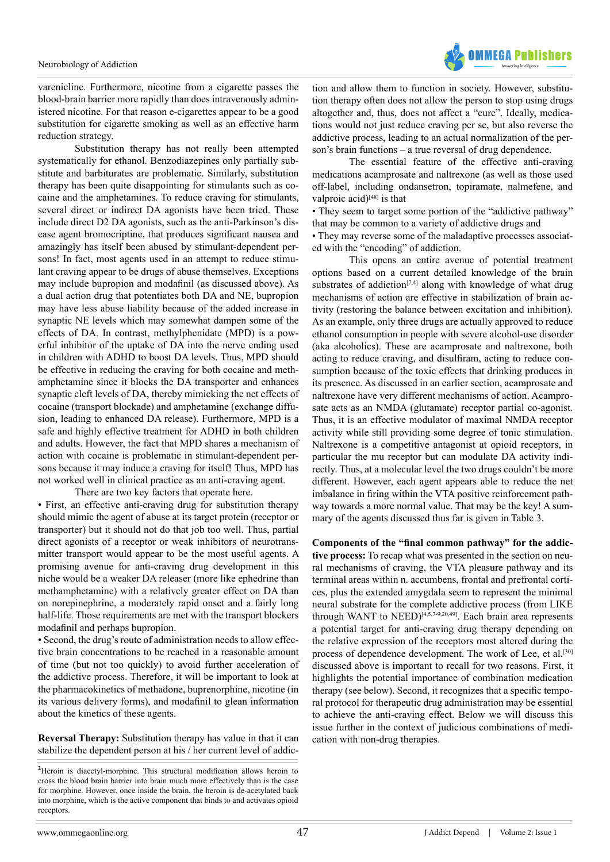

varenicline. Furthermore, nicotine from a cigarette passes the blood-brain barrier more rapidly than does intravenously administered nicotine. For that reason e-cigarettes appear to be a good substitution for cigarette smoking as well as an effective harm reduction strategy.

Substitution therapy has not really been attempted systematically for ethanol. Benzodiazepines only partially substitute and barbiturates are problematic. Similarly, substitution therapy has been quite disappointing for stimulants such as cocaine and the amphetamines. To reduce craving for stimulants, several direct or indirect DA agonists have been tried. These include direct D2 DA agonists, such as the anti-Parkinson's disease agent bromocriptine, that produces significant nausea and amazingly has itself been abused by stimulant-dependent persons! In fact, most agents used in an attempt to reduce stimulant craving appear to be drugs of abuse themselves. Exceptions may include bupropion and modafinil (as discussed above). As a dual action drug that potentiates both DA and NE, bupropion may have less abuse liability because of the added increase in synaptic NE levels which may somewhat dampen some of the effects of DA. In contrast, methylphenidate (MPD) is a powerful inhibitor of the uptake of DA into the nerve ending used in children with ADHD to boost DA levels. Thus, MPD should be effective in reducing the craving for both cocaine and methamphetamine since it blocks the DA transporter and enhances synaptic cleft levels of DA, thereby mimicking the net effects of cocaine (transport blockade) and amphetamine (exchange diffusion, leading to enhanced DA release). Furthermore, MPD is a safe and highly effective treatment for ADHD in both children and adults. However, the fact that MPD shares a mechanism of action with cocaine is problematic in stimulant-dependent persons because it may induce a craving for itself! Thus, MPD has not worked well in clinical practice as an anti-craving agent.

There are two key factors that operate here. • First, an effective anti-craving drug for substitution therapy should mimic the agent of abuse at its target protein (receptor or transporter) but it should not do that job too well. Thus, partial direct agonists of a receptor or weak inhibitors of neurotransmitter transport would appear to be the most useful agents. A promising avenue for anti-craving drug development in this niche would be a weaker DA releaser (more like ephedrine than methamphetamine) with a relatively greater effect on DA than on norepinephrine, a moderately rapid onset and a fairly long half-life. Those requirements are met with the transport blockers modafinil and perhaps bupropion.

• Second, the drug's route of administration needs to allow effective brain concentrations to be reached in a reasonable amount of time (but not too quickly) to avoid further acceleration of the addictive process. Therefore, it will be important to look at the pharmacokinetics of methadone, buprenorphine, nicotine (in its various delivery forms), and modafinil to glean information about the kinetics of these agents.

**Reversal Therapy:** Substitution therapy has value in that it can stabilize the dependent person at his / her current level of addiction and allow them to function in society. However, substitution therapy often does not allow the person to stop using drugs altogether and, thus, does not affect a "cure". Ideally, medications would not just reduce craving per se, but also reverse the addictive process, leading to an actual normalization of the person's brain functions – a true reversal of drug dependence.

The essential feature of the effective anti-craving medications acamprosate and naltrexone (as well as those used off-label, including ondansetron, topiramate, nalmefene, and valproic acid)<sup>[48]</sup> is that

• They seem to target some portion of the "addictive pathway" that may be common to a variety of addictive drugs and

• They may reverse some of the maladaptive processes associated with the "encoding" of addiction.

This opens an entire avenue of potential treatment options based on a current detailed knowledge of the brain substrates of addiction<sup>[7,4]</sup> along with knowledge of what drug mechanisms of action are effective in stabilization of brain activity (restoring the balance between excitation and inhibition). As an example, only three drugs are actually approved to reduce ethanol consumption in people with severe alcohol-use disorder (aka alcoholics). These are acamprosate and naltrexone, both acting to reduce craving, and disulfiram, acting to reduce consumption because of the toxic effects that drinking produces in its presence. As discussed in an earlier section, acamprosate and naltrexone have very different mechanisms of action. Acamprosate acts as an NMDA (glutamate) receptor partial co-agonist. Thus, it is an effective modulator of maximal NMDA receptor activity while still providing some degree of tonic stimulation. Naltrexone is a competitive antagonist at opioid receptors, in particular the mu receptor but can modulate DA activity indirectly. Thus, at a molecular level the two drugs couldn't be more different. However, each agent appears able to reduce the net imbalance in firing within the VTA positive reinforcement pathway towards a more normal value. That may be the key! A summary of the agents discussed thus far is given in Table 3.

**Components of the "final common pathway" for the addictive process:** To recap what was presented in the section on neural mechanisms of craving, the VTA pleasure pathway and its terminal areas within n. accumbens, frontal and prefrontal cortices, plus the extended amygdala seem to represent the minimal neural substrate for the complete addictive process (from LIKE through WANT to NEED)<sup>[4,5,7-9,20,49]</sup>. Each brain area represents a potential target for anti-craving drug therapy depending on the relative expression of the receptors most altered during the process of dependence development. The work of Lee, et al.<sup>[\[30\]](#page-10-15)</sup> discussed above is important to recall for two reasons. First, it highlights the potential importance of combination medication therapy (see below). Second, it recognizes that a specific temporal protocol for therapeutic drug administration may be essential to achieve the anti-craving effect. Below we will discuss this issue further in the context of judicious combinations of medication with non-drug therapies.

**<sup>2</sup>** Heroin is diacetyl-morphine. This structural modification allows heroin to cross the blood brain barrier into brain much more effectively than is the case for morphine. However, once inside the brain, the heroin is de-acetylated back into morphine, which is the active component that binds to and activates opioid receptors.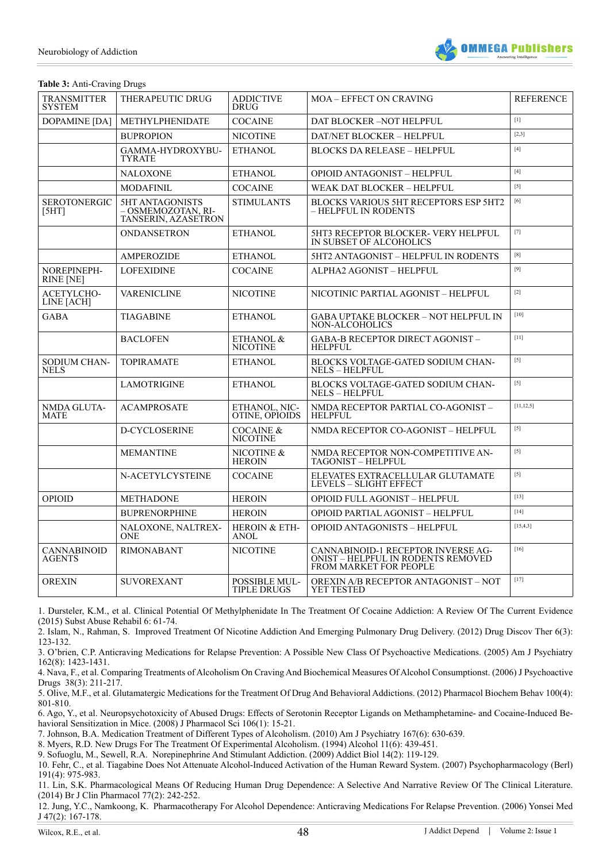

# **Table 3:** Anti-Craving Drugs

| <b>TRANSMITTER</b><br><b>SYSTEM</b> | THERAPEUTIC DRUG                                             | <b>ADDICTIVE</b><br><b>DRUG</b>            | <b>MOA - EFFECT ON CRAVING</b>                                                                            | <b>REFERENCE</b>                                                                                                                                                                                                                                                                                                                                                                                                                                                                                                                                                                                  |
|-------------------------------------|--------------------------------------------------------------|--------------------------------------------|-----------------------------------------------------------------------------------------------------------|---------------------------------------------------------------------------------------------------------------------------------------------------------------------------------------------------------------------------------------------------------------------------------------------------------------------------------------------------------------------------------------------------------------------------------------------------------------------------------------------------------------------------------------------------------------------------------------------------|
| <b>DOPAMINE</b> [DA]                | METHYLPHENIDATE                                              | <b>COCAINE</b>                             | DAT BLOCKER -NOT HELPFUL                                                                                  | [1]                                                                                                                                                                                                                                                                                                                                                                                                                                                                                                                                                                                               |
|                                     | <b>BUPROPION</b>                                             | <b>NICOTINE</b>                            | DAT/NET BLOCKER - HELPFUL                                                                                 | [2,3]                                                                                                                                                                                                                                                                                                                                                                                                                                                                                                                                                                                             |
|                                     | GAMMA-HYDROXYBU-<br><b>TYRATE</b>                            | <b>ETHANOL</b>                             | <b>BLOCKS DA RELEASE - HELPFUL</b>                                                                        | $[4]$                                                                                                                                                                                                                                                                                                                                                                                                                                                                                                                                                                                             |
|                                     | <b>NALOXONE</b>                                              | <b>ETHANOL</b>                             | OPIOID ANTAGONIST - HELPFUL                                                                               | $[4]$                                                                                                                                                                                                                                                                                                                                                                                                                                                                                                                                                                                             |
|                                     | <b>MODAFINIL</b>                                             | <b>COCAINE</b>                             | WEAK DAT BLOCKER - HELPFUL                                                                                | $[5]$                                                                                                                                                                                                                                                                                                                                                                                                                                                                                                                                                                                             |
| <b>SEROTONERGIC</b><br>[5HT]        | 5HT ANTAGONISTS<br>– OSMEMOZOTAN. RI-<br>TANSERIN, AZASETRON | <b>STIMULANTS</b>                          | BLOCKS VARIOUS 5HT RECEPTORS ESP 5HT2<br>- HELPFUL IN RODENTS                                             | $[6] \centering% \includegraphics[width=0.8\textwidth]{Figures/PN1.png} \caption{The 1000 of the $2$-error of the estimators in the left and right. The left is the number of~\textit{e} is the number of~\textit{e} is the number of~\textit{e} is the number of~\textit{e} is the number of~\textit{e} is the number of~\textit{e} is the number of~\textit{e} is the number of~\textit{e} is the number of~\textit{e} is the number of~\textit{e} is the number of~\textit{e} is the number of~\textit{e} is the number of~\textit{e} is the number of~\textit{e} is the number of~\textit{e}$ |
|                                     | ONDANSETRON                                                  | <b>ETHANOL</b>                             | 5HT3 RECEPTOR BLOCKER- VERY HELPFUL<br>IN SUBSET OF ALCOHOLICS                                            | $[7]$                                                                                                                                                                                                                                                                                                                                                                                                                                                                                                                                                                                             |
|                                     | <b>AMPEROZIDE</b>                                            | <b>ETHANOL</b>                             | 5HT2 ANTAGONIST - HELPFUL IN RODENTS                                                                      | [8]                                                                                                                                                                                                                                                                                                                                                                                                                                                                                                                                                                                               |
| NOREPINEPH-<br>RINE [NE]            | <b>LOFEXIDINE</b>                                            | <b>COCAINE</b>                             | ALPHA2 AGONIST - HELPFUL                                                                                  | [9]                                                                                                                                                                                                                                                                                                                                                                                                                                                                                                                                                                                               |
| ACETYLCHO-<br>LINE [ACH]            | <b>VARENICLINE</b>                                           | <b>NICOTINE</b>                            | NICOTINIC PARTIAL AGONIST - HELPFUL                                                                       | $[2]$                                                                                                                                                                                                                                                                                                                                                                                                                                                                                                                                                                                             |
| <b>GABA</b>                         | <b>TIAGABINE</b>                                             | <b>ETHANOL</b>                             | <b>GABA UPTAKE BLOCKER - NOT HELPFUL IN</b><br>NON-ALCOHOLICS                                             | $[10]$                                                                                                                                                                                                                                                                                                                                                                                                                                                                                                                                                                                            |
|                                     | <b>BACLOFEN</b>                                              | ETHANOL $\&$<br><b>NICOTINE</b>            | <b>GABA-B RECEPTOR DIRECT AGONIST -</b><br><b>HELPFUL</b>                                                 | $[11]$                                                                                                                                                                                                                                                                                                                                                                                                                                                                                                                                                                                            |
| SODIUM CHAN-<br><b>NELS</b>         | <b>TOPIRAMATE</b>                                            | <b>ETHANOL</b>                             | BLOCKS VOLTAGE-GATED SODIUM CHAN-<br><b>NELS - HELPFUL</b>                                                | $[5]$                                                                                                                                                                                                                                                                                                                                                                                                                                                                                                                                                                                             |
|                                     | <b>LAMOTRIGINE</b>                                           | <b>ETHANOL</b>                             | <b>BLOCKS VOLTAGE-GATED SODIUM CHAN-</b><br><b>NELS - HELPFUL</b>                                         | $[5]$                                                                                                                                                                                                                                                                                                                                                                                                                                                                                                                                                                                             |
| NMDA GLUTA-<br><b>MATE</b>          | <b>ACAMPROSATE</b>                                           | ETHANOL, NIC-<br>OTINE, OPIOIDS            | NMDA RECEPTOR PARTIAL CO-AGONIST-<br><b>HELPFUL</b>                                                       | [11, 12, 5]                                                                                                                                                                                                                                                                                                                                                                                                                                                                                                                                                                                       |
|                                     | D-CYCLOSERINE                                                | <b>COCAINE &amp;</b><br>NICOTINE           | NMDA RECEPTOR CO-AGONIST - HELPFUL                                                                        | $[5]$                                                                                                                                                                                                                                                                                                                                                                                                                                                                                                                                                                                             |
|                                     | <b>MEMANTINE</b>                                             | NICOTINE $\&$<br><b>HEROIN</b>             | NMDA RECEPTOR NON-COMPETITIVE AN-<br><b>TAGONIST - HELPFUL</b>                                            | $[5]$                                                                                                                                                                                                                                                                                                                                                                                                                                                                                                                                                                                             |
|                                     | N-ACETYLCYSTEINE                                             | <b>COCAINE</b>                             | ELEVATES EXTRACELLULAR GLUTAMATE<br>LEVELS - SLIGHT EFFECT                                                | $[5]$                                                                                                                                                                                                                                                                                                                                                                                                                                                                                                                                                                                             |
| <b>OPIOID</b>                       | <b>METHADONE</b>                                             | <b>HEROIN</b>                              | <b>OPIOID FULL AGONIST - HELPFUL</b>                                                                      | $[13]$                                                                                                                                                                                                                                                                                                                                                                                                                                                                                                                                                                                            |
|                                     | <b>BUPRENORPHINE</b>                                         | <b>HEROIN</b>                              | OPIOID PARTIAL AGONIST - HELPFUL                                                                          | $[14]$                                                                                                                                                                                                                                                                                                                                                                                                                                                                                                                                                                                            |
|                                     | NALOXONE, NALTREX-<br><b>ONE</b>                             | HEROIN & ETH-<br><b>ANOL</b>               | OPIOID ANTAGONISTS - HELPFUL                                                                              | [15, 4, 3]                                                                                                                                                                                                                                                                                                                                                                                                                                                                                                                                                                                        |
| <b>CANNABINOID</b><br><b>AGENTS</b> | <b>RIMONABANT</b>                                            | <b>NICOTINE</b>                            | CANNABINOID-1 RECEPTOR INVERSE AG-<br>ONIST - HELPFUL IN RODENTS REMOVED<br><b>FROM MARKET FOR PEOPLE</b> | $[16]$                                                                                                                                                                                                                                                                                                                                                                                                                                                                                                                                                                                            |
| <b>OREXIN</b>                       | <b>SUVOREXANT</b>                                            | <b>POSSIBLE MUL-</b><br><b>TIPLE DRUGS</b> | OREXIN A/B RECEPTOR ANTAGONIST - NOT<br>YET TESTED                                                        | $[17]$                                                                                                                                                                                                                                                                                                                                                                                                                                                                                                                                                                                            |

<span id="page-8-1"></span>1. [Dursteler, K.M., et al. Clinical Potential Of Methylphenidate In The Treatment Of Cocaine Addiction: A Review Of The Current Evidence](http://www.ncbi.nlm.nih.gov/pubmed/26124696) [\(2015\) Subst Abuse Rehabil 6: 61-74.](http://www.ncbi.nlm.nih.gov/pubmed/26124696)

<span id="page-8-2"></span>2. [Islam, N., Rahman, S. Improved Treatment Of Nicotine Addiction And Emerging Pulmonary Drug Delivery. \(2012\) Drug Discov Ther 6\(3\):](http://www.ncbi.nlm.nih.gov/pubmed/22890202) [123-132.](http://www.ncbi.nlm.nih.gov/pubmed/22890202)

3. [O'brien, C.P. Anticraving Medications for Relapse Prevention: A Possible New Class Of Psychoactive Medications. \(2005\) Am J Psychiatry](http://www.ncbi.nlm.nih.gov/pubmed/16055763) [162\(8\): 1423-1431.](http://www.ncbi.nlm.nih.gov/pubmed/16055763)

<span id="page-8-3"></span>4. [Nava, F., et al. Comparing Treatments of Alcoholism On Craving And Biochemical Measures Of Alcohol Consumptionst. \(2006\) J Psychoactive](http://www.pubfacts.com/detail/17165363/Comparing-treatments-of-alcoholism-on-craving-and-biochemical-measures-of-alcohol-consumptionst.) [Drugs 38\(3\): 211-217.](http://www.pubfacts.com/detail/17165363/Comparing-treatments-of-alcoholism-on-craving-and-biochemical-measures-of-alcohol-consumptionst.)

<span id="page-8-4"></span>5. [Olive, M.F., et al. Glutamatergic Medications for the Treatment Of Drug And Behavioral Addictions. \(2012\) Pharmacol Biochem Behav 100\(4\):](http://www.ncbi.nlm.nih.gov/pubmed/21536062) [801-810.](http://www.ncbi.nlm.nih.gov/pubmed/21536062)

<span id="page-8-5"></span>6. [Ago, Y., et al. Neuropsychotoxicity of Abused Drugs: Effects of Serotonin Receptor Ligands on Methamphetamine- and Cocaine-Induced Be](https://www.researchgate.net/publication/5654013_Neuropsychotoxicity_of_Abused_Drugs_Effects_of_Serotonin_Receptor_Ligands_on_Methamphetamine-_and_Cocaine-Induced_Behavioral_Sensitization_in_Mice)[havioral Sensitization in Mice. \(2008\) J Pharmacol Sci 106\(1\): 15-21.](https://www.researchgate.net/publication/5654013_Neuropsychotoxicity_of_Abused_Drugs_Effects_of_Serotonin_Receptor_Ligands_on_Methamphetamine-_and_Cocaine-Induced_Behavioral_Sensitization_in_Mice)

<span id="page-8-0"></span>7. [Johnson, B.A. Medication Treatment of Different Types of Alcoholism. \(2010\) Am J Psychiatry 167\(6\): 630-639.](http://www.ncbi.nlm.nih.gov/pmc/articles/PMC2939449/)

<span id="page-8-6"></span>8. [Myers, R.D. New Drugs For The Treatment Of Experimental Alcoholism. \(1994\) Alcohol 11\(6\): 439-451.](http://www.ncbi.nlm.nih.gov/pubmed/7865140)

<span id="page-8-7"></span>9. [Sofuoglu, M., Sewell, R.A. Norepinephrine And Stimulant Addiction. \(2009\) Addict Biol 14\(2\): 119-129.](http://www.ncbi.nlm.nih.gov/pmc/articles/PMC2657197/)

<span id="page-8-8"></span>10. [Fehr, C., et al. Tiagabine Does Not Attenuate Alcohol-Induced Activation of the Human Reward System. \(2007\) Psychopharmacology \(Berl\)](http://www.ncbi.nlm.nih.gov/pubmed/17265078) [191\(4\): 975-983.](http://www.ncbi.nlm.nih.gov/pubmed/17265078)

<span id="page-8-9"></span>11[. Lin, S.K. Pharmacological Means Of Reducing Human Drug Dependence: A Selective And Narrative Review Of The Clinical Literature.](http://www.ncbi.nlm.nih.gov/pubmed/23701272) [\(2014\) Br J Clin Pharmacol 77\(2\): 242-252.](http://www.ncbi.nlm.nih.gov/pubmed/23701272)

12. [Jung, Y.C., Namkoong, K. Pharmacotherapy For Alcohol Dependence: Anticraving Medications For Relapse Prevention. \(2006\) Yonsei Med](http://www.ncbi.nlm.nih.gov/pubmed/16642544) [J 47\(2\): 167-178](http://www.ncbi.nlm.nih.gov/pubmed/16642544).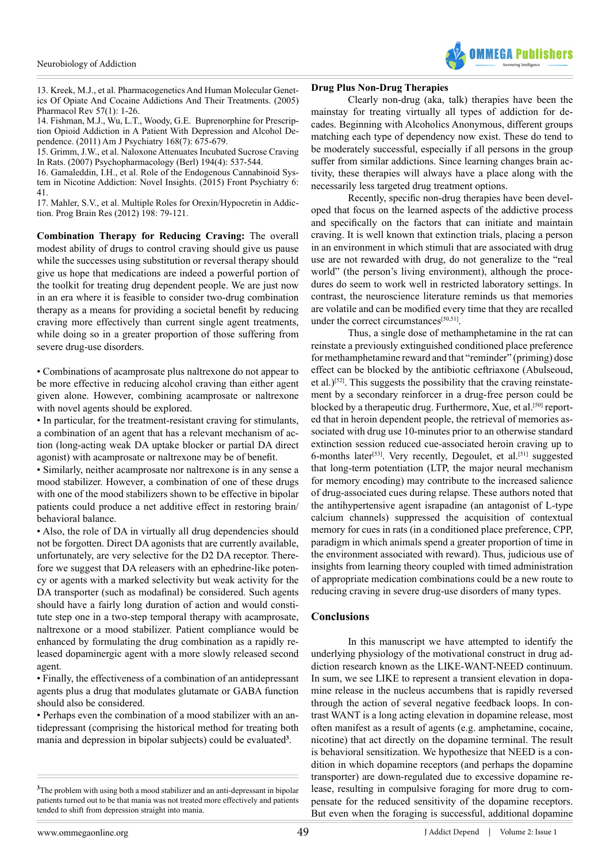

<span id="page-9-0"></span>13. [Kreek, M.J., et al. Pharmacogenetics And Human Molecular Genet](http://www.ncbi.nlm.nih.gov/pubmed/15734726)[ics Of Opiate And Cocaine Addictions And Their Treatments. \(2005\)](http://www.ncbi.nlm.nih.gov/pubmed/15734726)  [Pharmacol Rev 57\(1\): 1-26](http://www.ncbi.nlm.nih.gov/pubmed/15734726).

<span id="page-9-1"></span>14. [Fishman, M.J., Wu, L.T., Woody, G.E. Buprenorphine for Prescrip](http://www.ncbi.nlm.nih.gov/pmc/articles/PMC3178807/)[tion Opioid Addiction in A Patient With Depression and Alcohol De](http://www.ncbi.nlm.nih.gov/pmc/articles/PMC3178807/)[pendence. \(2011\) Am J Psychiatry 168\(7\): 675-679.](http://www.ncbi.nlm.nih.gov/pmc/articles/PMC3178807/)

<span id="page-9-2"></span>15. [Grimm, J.W., et al. Naloxone Attenuates Incubated Sucrose Craving](http://www.ncbi.nlm.nih.gov/pmc/articles/PMC2881196/)  [In Rats. \(2007\) Psychopharmacology \(Berl\) 194\(4\): 537-544.](http://www.ncbi.nlm.nih.gov/pmc/articles/PMC2881196/)

<span id="page-9-3"></span>16. [Gamaleddin, I.H., et al. Role of the Endogenous Cannabinoid Sys](http://www.ncbi.nlm.nih.gov/pubmed/25859226)[tem in Nicotine Addiction: Novel Insights. \(2015\) Front Psychiatry 6:](http://www.ncbi.nlm.nih.gov/pubmed/25859226)  [41.](http://www.ncbi.nlm.nih.gov/pubmed/25859226)

<span id="page-9-4"></span>17. [Mahler, S.V., et al. Multiple Roles for Orexin/Hypocretin in Addic](http://www.ncbi.nlm.nih.gov/pubmed/22813971)[tion. Prog Brain Res \(2012\) 198: 79-121.](http://www.ncbi.nlm.nih.gov/pubmed/22813971)

**Combination Therapy for Reducing Craving:** The overall modest ability of drugs to control craving should give us pause while the successes using substitution or reversal therapy should give us hope that medications are indeed a powerful portion of the toolkit for treating drug dependent people. We are just now in an era where it is feasible to consider two-drug combination therapy as a means for providing a societal benefit by reducing craving more effectively than current single agent treatments, while doing so in a greater proportion of those suffering from severe drug-use disorders.

• Combinations of acamprosate plus naltrexone do not appear to be more effective in reducing alcohol craving than either agent given alone. However, combining acamprosate or naltrexone with novel agents should be explored.

• In particular, for the treatment-resistant craving for stimulants, a combination of an agent that has a relevant mechanism of action (long-acting weak DA uptake blocker or partial DA direct agonist) with acamprosate or naltrexone may be of benefit.

• Similarly, neither acamprosate nor naltrexone is in any sense a mood stabilizer. However, a combination of one of these drugs with one of the mood stabilizers shown to be effective in bipolar patients could produce a net additive effect in restoring brain/ behavioral balance.

• Also, the role of DA in virtually all drug dependencies should not be forgotten. Direct DA agonists that are currently available, unfortunately, are very selective for the D2 DA receptor. Therefore we suggest that DA releasers with an ephedrine-like potency or agents with a marked selectivity but weak activity for the DA transporter (such as modafinal) be considered. Such agents should have a fairly long duration of action and would constitute step one in a two-step temporal therapy with acamprosate, naltrexone or a mood stabilizer. Patient compliance would be enhanced by formulating the drug combination as a rapidly released dopaminergic agent with a more slowly released second agent.

• Finally, the effectiveness of a combination of an antidepressant agents plus a drug that modulates glutamate or GABA function should also be considered.

• Perhaps even the combination of a mood stabilizer with an antidepressant (comprising the historical method for treating both mania and depression in bipolar subjects) could be evaluated**<sup>3</sup>** .

# **Drug Plus Non-Drug Therapies**

Clearly non-drug (aka, talk) therapies have been the mainstay for treating virtually all types of addiction for decades. Beginning with Alcoholics Anonymous, different groups matching each type of dependency now exist. These do tend to be moderately successful, especially if all persons in the group suffer from similar addictions. Since learning changes brain activity, these therapies will always have a place along with the necessarily less targeted drug treatment options.

Recently, specific non-drug therapies have been developed that focus on the learned aspects of the addictive process and specifically on the factors that can initiate and maintain craving. It is well known that extinction trials, placing a person in an environment in which stimuli that are associated with drug use are not rewarded with drug, do not generalize to the "real world" (the person's living environment), although the procedures do seem to work well in restricted laboratory settings. In contrast, the neuroscience literature reminds us that memories are volatile and can be modified every time that they are recalled under the correct circumstances<sup>[50,51]</sup>.

Thus, a single dose of methamphetamine in the rat can reinstate a previously extinguished conditioned place preference for methamphetamine reward and that "reminder" (priming) dose effect can be blocked by the antibiotic ceftriaxone (Abulseoud, et al.)[\[52\]](#page-11-16). This suggests the possibility that the craving reinstatement by a secondary reinforcer in a drug-free person could be blocked by a therapeutic drug. Furthermore, Xue, et al.<sup>[50]</sup> reported that in heroin dependent people, the retrieval of memories associated with drug use 10-minutes prior to an otherwise standard extinction session reduced cue-associated heroin craving up to 6-months later<sup>[\[53\]](#page-11-17)</sup>. Very recently, Degoulet, et al.<sup>[51]</sup> suggested that long-term potentiation (LTP, the major neural mechanism for memory encoding) may contribute to the increased salience of drug-associated cues during relapse. These authors noted that the antihypertensive agent israpadine (an antagonist of L-type calcium channels) suppressed the acquisition of contextual memory for cues in rats (in a conditioned place preference, CPP, paradigm in which animals spend a greater proportion of time in the environment associated with reward). Thus, judicious use of insights from learning theory coupled with timed administration of appropriate medication combinations could be a new route to reducing craving in severe drug-use disorders of many types.

# **Conclusions**

In this manuscript we have attempted to identify the underlying physiology of the motivational construct in drug addiction research known as the LIKE-WANT-NEED continuum. In sum, we see LIKE to represent a transient elevation in dopamine release in the nucleus accumbens that is rapidly reversed through the action of several negative feedback loops. In contrast WANT is a long acting elevation in dopamine release, most often manifest as a result of agents (e.g. amphetamine, cocaine, nicotine) that act directly on the dopamine terminal. The result is behavioral sensitization. We hypothesize that NEED is a condition in which dopamine receptors (and perhaps the dopamine transporter) are down-regulated due to excessive dopamine release, resulting in compulsive foraging for more drug to compensate for the reduced sensitivity of the dopamine receptors. But even when the foraging is successful, additional dopamine

**<sup>3</sup>** The problem with using both a mood stabilizer and an anti-depressant in bipolar patients turned out to be that mania was not treated more effectively and patients tended to shift from depression straight into mania.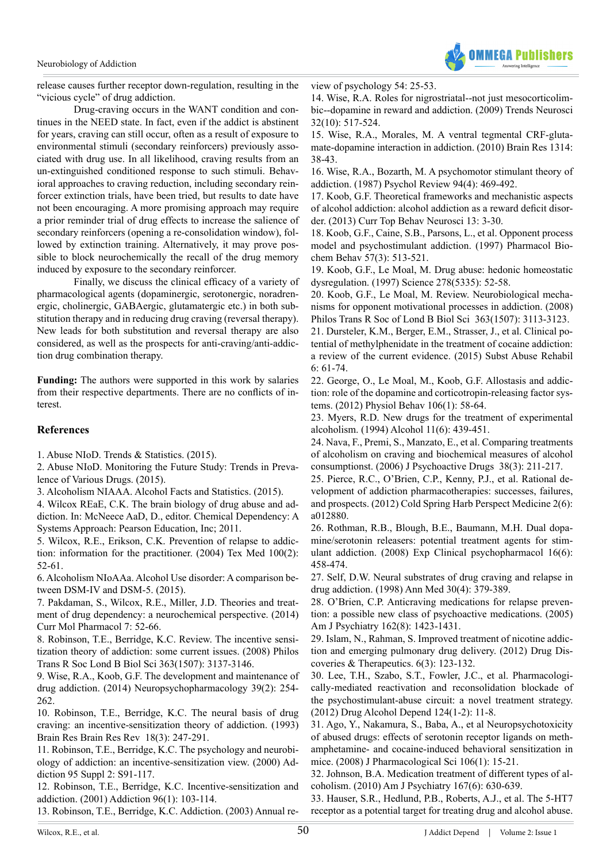

release causes further receptor down-regulation, resulting in the "vicious cycle" of drug addiction.

Drug-craving occurs in the WANT condition and continues in the NEED state. In fact, even if the addict is abstinent for years, craving can still occur, often as a result of exposure to environmental stimuli (secondary reinforcers) previously associated with drug use. In all likelihood, craving results from an un-extinguished conditioned response to such stimuli. Behavioral approaches to craving reduction, including secondary reinforcer extinction trials, have been tried, but results to date have not been encouraging. A more promising approach may require a prior reminder trial of drug effects to increase the salience of secondary reinforcers (opening a re-consolidation window), followed by extinction training. Alternatively, it may prove possible to block neurochemically the recall of the drug memory induced by exposure to the secondary reinforcer.

Finally, we discuss the clinical efficacy of a variety of pharmacological agents (dopaminergic, serotonergic, noradrenergic, cholinergic, GABAergic, glutamatergic etc.) in both substitution therapy and in reducing drug craving (reversal therapy). New leads for both substitution and reversal therapy are also considered, as well as the prospects for anti-craving/anti-addiction drug combination therapy.

**Funding:** The authors were supported in this work by salaries from their respective departments. There are no conflicts of interest.

# **References**

<span id="page-10-0"></span>1. [Abuse NIoD. Trends & Statistics. \(2015\).](http://www.drugabuse.gov/related-topics/trends-statistics)

<span id="page-10-1"></span>2. [Abuse NIoD. Monitoring the Future Study: Trends in Preva](http://wwwdrugabusegov/trends-statistics/monitoring-future/monitoring-future-study-trends-in-prevalence-various-drugs)[lence of Various Drugs. \(2015\).](http://wwwdrugabusegov/trends-statistics/monitoring-future/monitoring-future-study-trends-in-prevalence-various-drugs)

<span id="page-10-2"></span>3. [Alcoholism NIAAA. Alcohol Facts and Statistics. \(2015\).](http://pubs.niaaa.nih.gov/publications/AlcoholFacts&Stats/AlcoholFacts&Stats.pdf)

<span id="page-10-3"></span>4. Wilcox REaE, C.K. The brain biology of drug abuse and addiction. In: McNeece AaD, D., editor. Chemical Dependency: A Systems Approach: Pearson Education, Inc; 2011.

<span id="page-10-4"></span>5. [Wilcox, R.E., Erikson, C.K. Prevention of relapse to addic](http://www.ncbi.nlm.nih.gov/pubmed/15146782)[tion: information for the practitioner. \(2004\) Tex Med 100\(2\):](http://www.ncbi.nlm.nih.gov/pubmed/15146782)  [52-61.](http://www.ncbi.nlm.nih.gov/pubmed/15146782)

<span id="page-10-5"></span>6. [Alcoholism NIoAAa. Alcohol Use disorder: A comparison be](http://pubs.niaaa.nih.gov/publications/dsmfactsheet/dsmfact.pdf)[tween DSM-IV and DSM-5. \(2015\).](http://pubs.niaaa.nih.gov/publications/dsmfactsheet/dsmfact.pdf)

<span id="page-10-6"></span>7. [Pakdaman, S., Wilcox, R.E., Miller, J.D. Theories and treat](http://www.ncbi.nlm.nih.gov/pubmed/25324047)[ment of drug dependency: a neurochemical perspective. \(2014\)](http://www.ncbi.nlm.nih.gov/pubmed/25324047)  [Curr Mol Pharmacol 7: 52-66.](http://www.ncbi.nlm.nih.gov/pubmed/25324047)

<span id="page-10-7"></span>8. [Robinson, T.E., Berridge, K.C. Review. The incentive sensi](http://www.ncbi.nlm.nih.gov/pubmed/18640920)[tization theory of addiction: some current issues. \(2008\) Philos](http://www.ncbi.nlm.nih.gov/pubmed/18640920)  [Trans R Soc Lond B Biol Sci 363\(1507\): 3137-3146.](http://www.ncbi.nlm.nih.gov/pubmed/18640920)

<span id="page-10-8"></span>9. [Wise, R.A., Koob, G.F. The development and maintenance of](http://www.nature.com/npp/journal/v39/n2/full/npp2013261a.html)  [drug addiction. \(2014\) Neuropsychopharmacology 39\(2\): 254-](http://www.nature.com/npp/journal/v39/n2/full/npp2013261a.html) [262.](http://www.nature.com/npp/journal/v39/n2/full/npp2013261a.html)

<span id="page-10-9"></span>10. [Robinson, T.E., Berridge, K.C. The neural basis of drug](http://www.ncbi.nlm.nih.gov/pubmed/8401595)  [craving: an incentive-sensitization theory of addiction. \(1993\)](http://www.ncbi.nlm.nih.gov/pubmed/8401595)  [Brain Res Brain Res Rev 18\(3\): 247-291.](http://www.ncbi.nlm.nih.gov/pubmed/8401595)

11. [Robinson, T.E., Berridge, K.C. The psychology and neurobi](http://www.ncbi.nlm.nih.gov/pubmed/11002906)[ology of addiction: an incentive-sensitization view. \(2000\) Ad](http://www.ncbi.nlm.nih.gov/pubmed/11002906)[diction 95 Suppl 2: S91-117.](http://www.ncbi.nlm.nih.gov/pubmed/11002906)

12. [Robinson, T.E., Berridge, K.C. Incentive-sensitization and](http://www.ncbi.nlm.nih.gov/pubmed/11177523)  [addiction. \(2001\) Addiction 96\(1\): 103-114.](http://www.ncbi.nlm.nih.gov/pubmed/11177523)

13. [Robinson, T.E., Berridge, K.C. Addiction. \(2003\) Annual re-](http://www.annualreviews.org/doi/abs/10.1146/annurev.psych.54.101601.145237)

[view of psychology 54: 25-53.](http://www.annualreviews.org/doi/abs/10.1146/annurev.psych.54.101601.145237)

14. [Wise, R.A. Roles for nigrostriatal--not just mesocorticolim](http://www.ncbi.nlm.nih.gov/pubmed/19758714)[bic--dopamine in reward and addiction. \(2009\) Trends Neurosci](http://www.ncbi.nlm.nih.gov/pubmed/19758714) [32\(10\): 517-524.](http://www.ncbi.nlm.nih.gov/pubmed/19758714)

15. [Wise, R.A., Morales, M. A ventral tegmental CRF-gluta](http://www.ncbi.nlm.nih.gov/pubmed/19800323)[mate-dopamine interaction in addiction. \(2010\) Brain Res 1314:](http://www.ncbi.nlm.nih.gov/pubmed/19800323) [38-43.](http://www.ncbi.nlm.nih.gov/pubmed/19800323)

16. [Wise, R.A., Bozarth, M. A psychomotor stimulant theory of](http://www.ncbi.nlm.nih.gov/pubmed/3317472) [addiction. \(1987\) Psychol Review 94\(4\): 469-492](http://www.ncbi.nlm.nih.gov/pubmed/3317472).

<span id="page-10-10"></span>17. [Koob, G.F. Theoretical frameworks and mechanistic aspects](http://www.ncbi.nlm.nih.gov/pubmed/21744309) [of alcohol addiction: alcohol addiction as a reward deficit disor](http://www.ncbi.nlm.nih.gov/pubmed/21744309)[der. \(2013\) Curr Top Behav Neurosci 13: 3-30.](http://www.ncbi.nlm.nih.gov/pubmed/21744309)

18. [Koob, G.F., Caine, S.B., Parsons, L., et al. Opponent process](http://www.ncbi.nlm.nih.gov/pubmed/9218276) [model and psychostimulant addiction. \(1997\) Pharmacol Bio](http://www.ncbi.nlm.nih.gov/pubmed/9218276)[chem Behav 57\(3\): 513-521.](http://www.ncbi.nlm.nih.gov/pubmed/9218276)

19. [Koob, G.F., Le Moal, M. Drug abuse: hedonic homeostatic](http://www.ncbi.nlm.nih.gov/pubmed/9311926) [dysregulation. \(1997\) Science 278\(5335\): 52-58](http://www.ncbi.nlm.nih.gov/pubmed/9311926).

20. [Koob, G.F., Le Moal, M. Review. Neurobiological mecha](http://www.ncbi.nlm.nih.gov/pubmed/18653439)[nisms for opponent motivational processes in addiction. \(2008\)](http://www.ncbi.nlm.nih.gov/pubmed/18653439) [Philos Trans R Soc of Lond B Biol Sci 363\(1507\): 3113-3123.](http://www.ncbi.nlm.nih.gov/pubmed/18653439)

<span id="page-10-11"></span>21. [Dursteler, K.M., Berger, E.M., Strasser, J., et al. Clinical po](http://www.ncbi.nlm.nih.gov/pubmed/26124696)[tential of methylphenidate in the treatment of cocaine addiction:](http://www.ncbi.nlm.nih.gov/pubmed/26124696) [a review of the current evidence. \(2015\) Subst Abuse Rehabil](http://www.ncbi.nlm.nih.gov/pubmed/26124696)  $6: 61-74$ 

<span id="page-10-14"></span>22. [George, O., Le Moal, M., Koob, G.F. Allostasis and addic](http://www.ncbi.nlm.nih.gov/pubmed/22108506)[tion: role of the dopamine and corticotropin-releasing factor sys](http://www.ncbi.nlm.nih.gov/pubmed/22108506)[tems. \(2012\) Physiol Behav 106\(1\): 58-64.](http://www.ncbi.nlm.nih.gov/pubmed/22108506)

<span id="page-10-16"></span>23. [Myers, R.D. New drugs for the treatment of experimental](http://www.ncbi.nlm.nih.gov/pubmed/7865140) [alcoholism. \(1994\) Alcohol 11\(6\): 439-451.](http://www.ncbi.nlm.nih.gov/pubmed/7865140)

<span id="page-10-17"></span>24. [Nava, F., Premi, S., Manzato, E., et al. Comparing treatments](http://www.ncbi.nlm.nih.gov/pubmed/17165363) [of alcoholism on craving and biochemical measures of alcohol](http://www.ncbi.nlm.nih.gov/pubmed/17165363) [consumptionst. \(2006\) J Psychoactive Drugs 38\(3\): 211-217.](http://www.ncbi.nlm.nih.gov/pubmed/17165363)

<span id="page-10-18"></span>25. [Pierce, R.C., O'Brien, C.P., Kenny, P.J., et al. Rational de](http://www.ncbi.nlm.nih.gov/pubmed/22675669)[velopment of addiction pharmacotherapies: successes, failures,](http://www.ncbi.nlm.nih.gov/pubmed/22675669) [and prospects. \(2012\) Cold Spring Harb Perspect Medicine 2\(6\):](http://www.ncbi.nlm.nih.gov/pubmed/22675669) [a012880.](http://www.ncbi.nlm.nih.gov/pubmed/22675669)

<span id="page-10-19"></span>26. [Rothman, R.B., Blough, B.E., Baumann, M.H. Dual dopa](http://www.ncbi.nlm.nih.gov/pubmed/19086767)[mine/serotonin releasers: potential treatment agents for stim](http://www.ncbi.nlm.nih.gov/pubmed/19086767)[ulant addiction. \(2008\) Exp Clinical psychopharmacol 16\(6\):](http://www.ncbi.nlm.nih.gov/pubmed/19086767) [458-474.](http://www.ncbi.nlm.nih.gov/pubmed/19086767)

<span id="page-10-20"></span>27. [Self, D.W. Neural substrates of drug craving and relapse in](http://www.ncbi.nlm.nih.gov/pubmed/9783837) [drug addiction. \(1998\) Ann Med 30\(4\): 379-389.](http://www.ncbi.nlm.nih.gov/pubmed/9783837)

<span id="page-10-12"></span>28. [O'Brien, C.P. Anticraving medications for relapse preven](http://www.ncbi.nlm.nih.gov/pubmed/16055763)[tion: a possible new class of psychoactive medications. \(2005\)](http://www.ncbi.nlm.nih.gov/pubmed/16055763) [Am J Psychiatry 162\(8\): 1423-1431.](http://www.ncbi.nlm.nih.gov/pubmed/16055763)

<span id="page-10-13"></span>29. [Islam, N., Rahman, S. Improved treatment of nicotine addic](https://www.jstage.jst.go.jp/article/ddt/6/3/6_2012.v6.3.123/_article)[tion and emerging pulmonary drug delivery. \(2012\) Drug Dis](https://www.jstage.jst.go.jp/article/ddt/6/3/6_2012.v6.3.123/_article)[coveries & Therapeutics. 6\(3\): 123-132.](https://www.jstage.jst.go.jp/article/ddt/6/3/6_2012.v6.3.123/_article)

<span id="page-10-15"></span>30. [Lee, T.H., Szabo, S.T., Fowler, J.C., et al. Pharmacologi](http://www.ncbi.nlm.nih.gov/pubmed/22356892)[cally-mediated reactivation and reconsolidation blockade of](http://www.ncbi.nlm.nih.gov/pubmed/22356892) [the psychostimulant-abuse circuit: a novel treatment strategy.](http://www.ncbi.nlm.nih.gov/pubmed/22356892) [\(2012\) Drug Alcohol Depend 124\(1-2\): 11-8.](http://www.ncbi.nlm.nih.gov/pubmed/22356892)

<span id="page-10-21"></span>31. [Ago, Y., Nakamura, S., Baba, A., et al Neuropsychotoxicity](http://www.ncbi.nlm.nih.gov/pubmed/18198473) [of abused drugs: effects of serotonin receptor ligands on meth](http://www.ncbi.nlm.nih.gov/pubmed/18198473)[amphetamine- and cocaine-induced behavioral sensitization in](http://www.ncbi.nlm.nih.gov/pubmed/18198473) [mice. \(2008\) J Pharmacological Sci 106\(1\): 15-21.](http://www.ncbi.nlm.nih.gov/pubmed/18198473)

<span id="page-10-22"></span>32. [Johnson, B.A. Medication treatment of different types of al](http://www.ncbi.nlm.nih.gov/pmc/articles/PMC2939449/)[coholism. \(2010\) Am J Psychiatry 167\(6\): 630-639.](http://www.ncbi.nlm.nih.gov/pmc/articles/PMC2939449/)

<span id="page-10-23"></span>33. [Hauser, S.R., Hedlund, P.B., Roberts, A.J., et al. The 5-HT7](http://journal.frontiersin.org/article/10.3389/fnins.2014.00448/abstract) [receptor as a potential target for treating drug and alcohol abuse.](http://journal.frontiersin.org/article/10.3389/fnins.2014.00448/abstract)